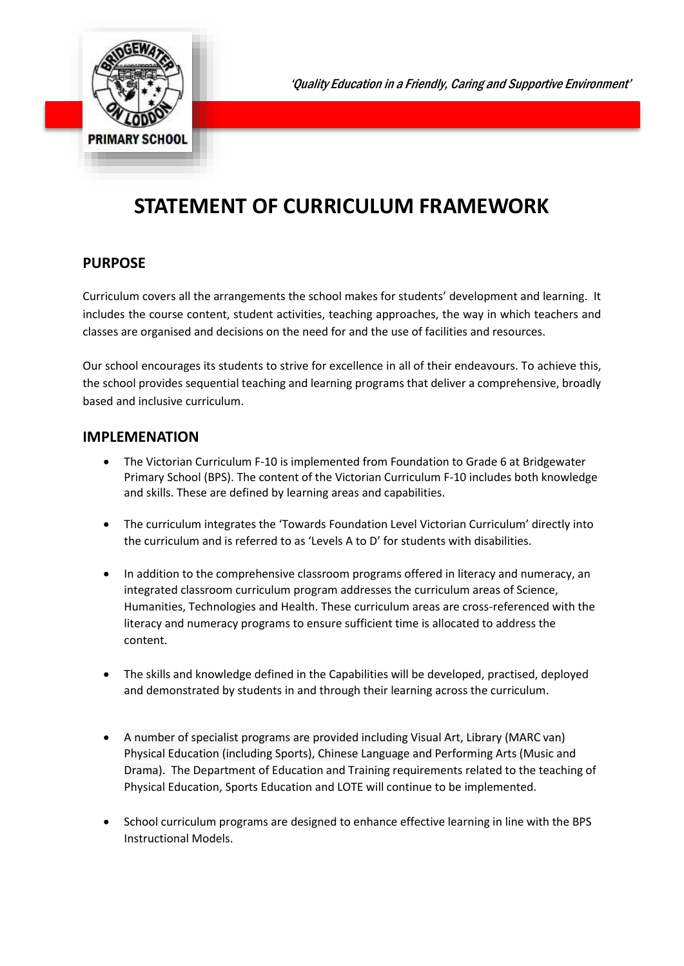# **STATEMENT OF CURRICULUM FRAMEWORK**

### **PURPOSE**

Curriculum covers all the arrangements the school makes for students' development and learning. It includes the course content, student activities, teaching approaches, the way in which teachers and classes are organised and decisions on the need for and the use of facilities and resources.

Our school encourages its students to strive for excellence in all of their endeavours. To achieve this, the school provides sequential teaching and learning programs that deliver a comprehensive, broadly based and inclusive curriculum.

#### **IMPLEMENATION**

- The Victorian Curriculum F-10 is implemented from Foundation to Grade 6 at Bridgewater Primary School (BPS). The content of the Victorian Curriculum F-10 includes both knowledge and skills. These are defined by learning areas and capabilities.
- The curriculum integrates the 'Towards Foundation Level Victorian Curriculum' directly into the curriculum and is referred to as 'Levels A to D' for students with disabilities.
- In addition to the comprehensive classroom programs offered in literacy and numeracy, an integrated classroom curriculum program addresses the curriculum areas of Science, Humanities, Technologies and Health. These curriculum areas are cross-referenced with the literacy and numeracy programs to ensure sufficient time is allocated to address the content.
- The skills and knowledge defined in the Capabilities will be developed, practised, deployed and demonstrated by students in and through their learning across the curriculum.
- A number of specialist programs are provided including Visual Art, Library (MARC van) Physical Education (including Sports), Chinese Language and Performing Arts (Music and Drama). The Department of Education and Training requirements related to the teaching of Physical Education, Sports Education and LOTE will continue to be implemented.
- School curriculum programs are designed to enhance effective learning in line with the BPS Instructional Models.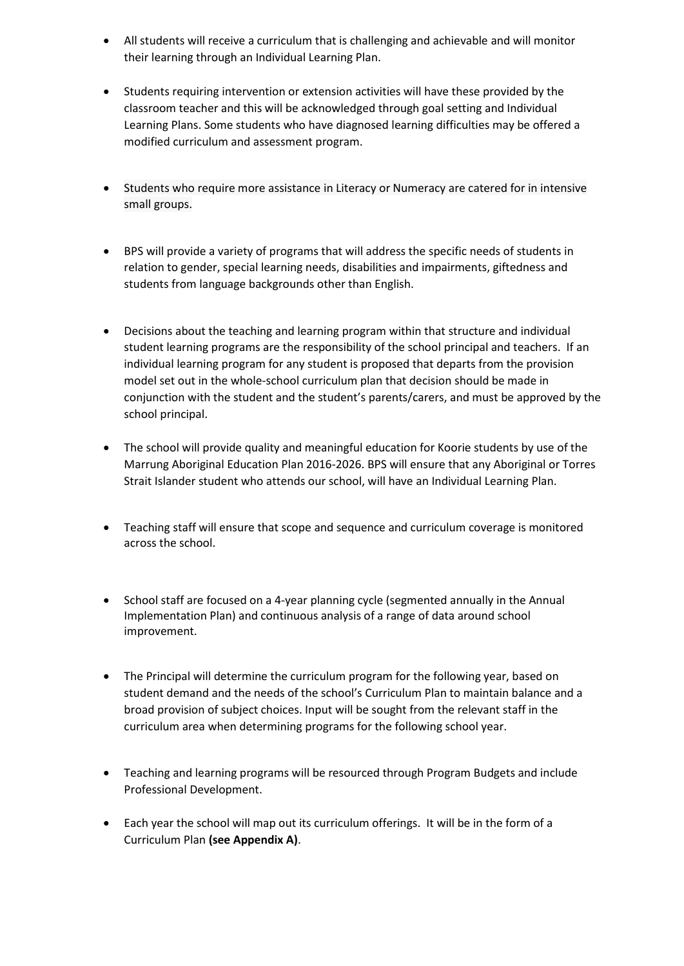- All students will receive a curriculum that is challenging and achievable and will monitor their learning through an Individual Learning Plan.
- Students requiring intervention or extension activities will have these provided by the classroom teacher and this will be acknowledged through goal setting and Individual Learning Plans. Some students who have diagnosed learning difficulties may be offered a modified curriculum and assessment program.
- Students who require more assistance in Literacy or Numeracy are catered for in intensive small groups.
- BPS will provide a variety of programs that will address the specific needs of students in relation to gender, special learning needs, disabilities and impairments, giftedness and students from language backgrounds other than English.
- Decisions about the teaching and learning program within that structure and individual student learning programs are the responsibility of the school principal and teachers. If an individual learning program for any student is proposed that departs from the provision model set out in the whole-school curriculum plan that decision should be made in conjunction with the student and the student's parents/carers, and must be approved by the school principal.
- The school will provide quality and meaningful education for Koorie students by use of the Marrung Aboriginal Education Plan 2016-2026. BPS will ensure that any Aboriginal or Torres Strait Islander student who attends our school, will have an Individual Learning Plan.
- Teaching staff will ensure that scope and sequence and curriculum coverage is monitored across the school.
- School staff are focused on a 4-year planning cycle (segmented annually in the Annual Implementation Plan) and continuous analysis of a range of data around school improvement.
- The Principal will determine the curriculum program for the following year, based on student demand and the needs of the school's Curriculum Plan to maintain balance and a broad provision of subject choices. Input will be sought from the relevant staff in the curriculum area when determining programs for the following school year.
- Teaching and learning programs will be resourced through Program Budgets and include Professional Development.
- Each year the school will map out its curriculum offerings. It will be in the form of a Curriculum Plan **(see Appendix A)**.